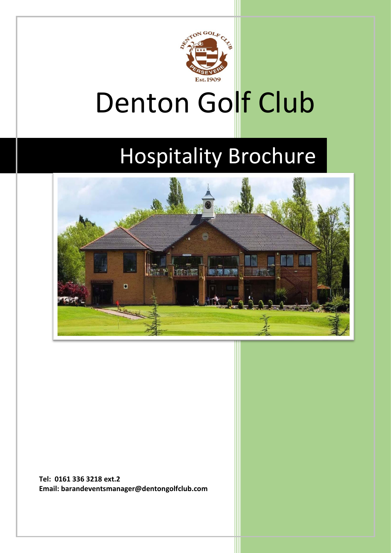

# Denton Golf Club

## Hospitality Brochure



**Tel: 0161 336 3218 ext.2 Email: barandeventsmanager@dentongolfclub.com**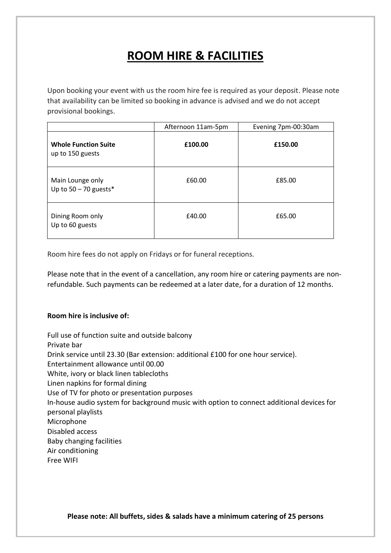### **ROOM HIRE & FACILITIES**

Upon booking your event with us the room hire fee is required as your deposit. Please note that availability can be limited so booking in advance is advised and we do not accept provisional bookings.

|                                                 | Afternoon 11am-5pm | Evening 7pm-00:30am |
|-------------------------------------------------|--------------------|---------------------|
| <b>Whole Function Suite</b><br>up to 150 guests | £100.00            | £150.00             |
| Main Lounge only<br>Up to $50 - 70$ guests*     | £60.00             | £85.00              |
| Dining Room only<br>Up to 60 guests             | £40.00             | £65.00              |

Room hire fees do not apply on Fridays or for funeral receptions.

Please note that in the event of a cancellation, any room hire or catering payments are nonrefundable. Such payments can be redeemed at a later date, for a duration of 12 months.

### **Room hire is inclusive of:**

Full use of function suite and outside balcony Private bar Drink service until 23.30 (Bar extension: additional £100 for one hour service). Entertainment allowance until 00.00 White, ivory or black linen tablecloths Linen napkins for formal dining Use of TV for photo or presentation purposes In-house audio system for background music with option to connect additional devices for personal playlists Microphone Disabled access Baby changing facilities Air conditioning Free WIFI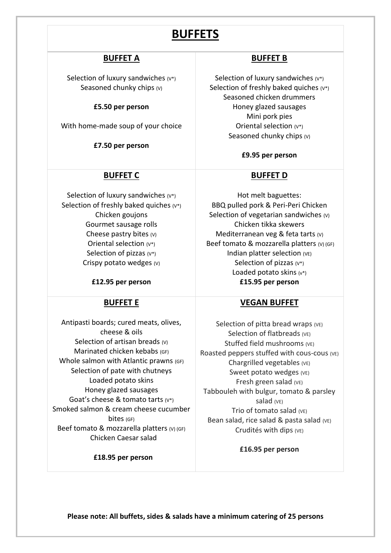### **BUFFETS**

### **BUFFET A**

Selection of luxury sandwiches  $(v^*)$ Seasoned chunky chips (v)

#### **£5.50 per person**

With home-made soup of your choice

**£7.50 per person**

### **BUFFET C**

Selection of luxury sandwiches  $(v^*)$ Selection of freshly baked quiches  $(v^*)$ Chicken goujons Gourmet sausage rolls Cheese pastry bites (V) Oriental selection (V\*) Selection of pizzas  $(v^*)$ Crispy potato wedges (V)

**£12.95 per person**

### **BUFFET E**

Antipasti boards; cured meats, olives, cheese & oils Selection of artisan breads (v) Marinated chicken kebabs (GF) Whole salmon with Atlantic prawns (GF) Selection of pate with chutneys Loaded potato skins Honey glazed sausages Goat's cheese & tomato tarts (V\*) Smoked salmon & cream cheese cucumber bites (GF) Beef tomato & mozzarella platters (V) (GF) Chicken Caesar salad

 **£18.95 per person**

### **BUFFET B**

Selection of luxury sandwiches  $(v^*)$ Selection of freshly baked quiches (V\*) Seasoned chicken drummers Honey glazed sausages Mini pork pies Oriental selection (V\*) Seasoned chunky chips (v)

#### **£9.95 per person**

### **BUFFET D**

Hot melt baguettes: BBQ pulled pork & Peri-Peri Chicken Selection of vegetarian sandwiches (v) Chicken tikka skewers Mediterranean veg & feta tarts (V) Beef tomato & mozzarella platters (V) (GF) Indian platter selection (VE) Selection of pizzas (V\*) Loaded potato skins (v\*) **£15.95 per person**

### **VEGAN BUFFET**

Selection of pitta bread wraps  $(VE)$ Selection of flatbreads (VE) Stuffed field mushrooms (VE) Roasted peppers stuffed with cous-cous (VE) Chargrilled vegetables (VE) Sweet potato wedges (VE) Fresh green salad (VE) Tabbouleh with bulgur, tomato & parsley salad (VE) Trio of tomato salad (VE) Bean salad, rice salad & pasta salad (VE) Crudités with dips (VE)

**£16.95 per person**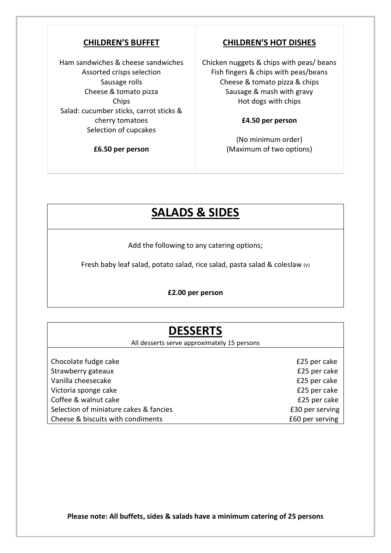### **CHILDREN'S BUFFET**

Ham sandwiches & cheese sandwiches Assorted crisps selection Sausage rolls Cheese & tomato pizza Chips Salad: cucumber sticks, carrot sticks & cherry tomatoes Selection of cupcakes

**£6.50 per person**

### **CHILDREN'S HOT DISHES**

Chicken nuggets & chips with peas/ beans Fish fingers & chips with peas/beans Cheese & tomato pizza & chips Sausage & mash with gravy Hot dogs with chips

#### **£4.50 per person**

(No minimum order) (Maximum of two options)

### **SALADS & SIDES**

Add the following to any catering options;

Fresh baby leaf salad, potato salad, rice salad, pasta salad & coleslaw (V)

**£2.00 per person**

### **DESSERTS**

All desserts serve approximately 15 persons

| Chocolate fudge cake                   |  |
|----------------------------------------|--|
| Strawberry gateaux                     |  |
| Vanilla cheesecake                     |  |
| Victoria sponge cake                   |  |
| Coffee & walnut cake                   |  |
| Selection of miniature cakes & fancies |  |
| Cheese & biscuits with condiments      |  |

£25 per cake £25 per cake £25 per cake £25 per cake £25 per cake £30 per serving £60 per serving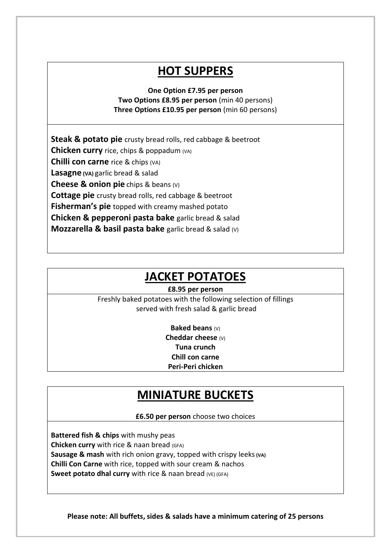### **HOT SUPPERS**

**One Option £7.95 per person Two Options £8.95 per person** (min 40 persons) **Three Options £10.95 per person** (min 60 persons)

**Steak & potato pie** crusty bread rolls, red cabbage & beetroot **Chicken curry** rice, chips & poppadum (VA) **Chilli con carne** rice & chips (VA) **Lasagne (VA)** garlic bread & salad **Cheese & onion pie** chips & beans (V) **Cottage pie** crusty bread rolls, red cabbage & beetroot **Fisherman's pie** topped with creamy mashed potato **Chicken & pepperoni pasta bake** garlic bread & salad **Mozzarella & basil pasta bake** garlic bread & salad (V)

### **JACKET POTATOES**

### **£8.95 per person**

Freshly baked potatoes with the following selection of fillings served with fresh salad & garlic bread

> **Baked beans** (V) **Cheddar cheese** (V) **Tuna crunch Chill con carne Peri-Peri chicken**

### **MINIATURE BUCKETS**

**£6.50 per person** choose two choices

**Battered fish & chips** with mushy peas **Chicken curry** with rice & naan bread (GFA) **Sausage & mash** with rich onion gravy, topped with crispy leeks**(VA) Chilli Con Carne** with rice, topped with sour cream & nachos **Sweet potato dhal curry** with rice & naan bread (VE) (GFA)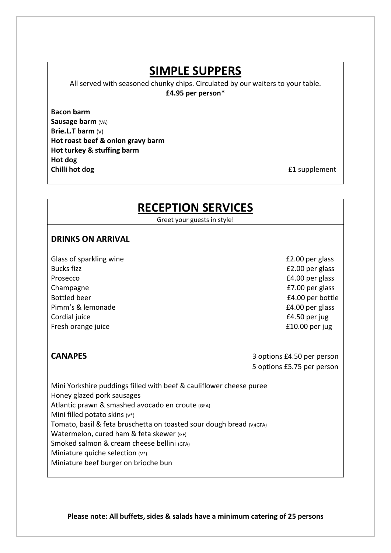### **SIMPLE SUPPERS**

All served with seasoned chunky chips. Circulated by our waiters to your table.

**£4.95 per person\***

### **Bacon barm**

**Sausage barm** (VA) **Brie.L.T barm** (V) **Hot roast beef & onion gravy barm Hot turkey & stuffing barm Hot dog Chilli hot dog £1** supplement

### **RECEPTION SERVICES**

Greet your guests in style!

### **DRINKS ON ARRIVAL**

Glass of sparkling wine **EXACT SERVICES** Class of sparkling wine Bucks fizz **EXECUTE:** Bucks fizz **EXECUTE:**  $\frac{22.00 \text{ per glass}}{2.00 \text{ per glass}}$ Prosecco **E4.00 per glass** Champagne **E7.00** per glass Bottled beer **E4.00** per bottle Pimm's & lemonade **E4.00** per glass Cordial juice E4.50 per jug Fresh orange juice **E10.00** per jug

**CANAPES** 3 options £4.50 per person 5 options £5.75 per person

Mini Yorkshire puddings filled with beef & cauliflower cheese puree Honey glazed pork sausages Atlantic prawn & smashed avocado en croute (GFA) Mini filled potato skins  $(v^*)$ Tomato, basil & feta bruschetta on toasted sour dough bread (V)(GFA) Watermelon, cured ham & feta skewer (GF) Smoked salmon & cream cheese bellini (GFA) Miniature quiche selection (V\*) Miniature beef burger on brioche bun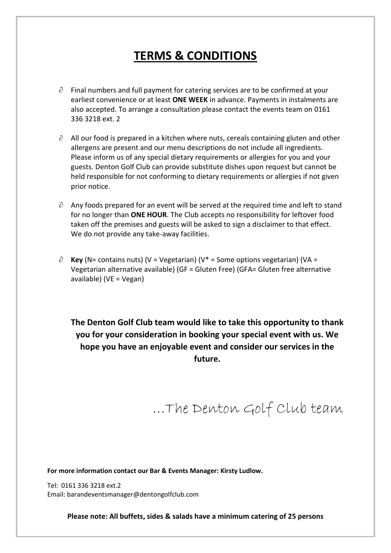### **TERMS & CONDITIONS**

- $\partial$  Final numbers and full payment for catering services are to be confirmed at your earliest convenience or at least **ONE WEEK** in advance. Payments in instalments are also accepted. To arrange a consultation please contact the events team on 0161 336 3218 ext. 2
- $\partial$  All our food is prepared in a kitchen where nuts, cereals containing gluten and other allergens are present and our menu descriptions do not include all ingredients. Please inform us of any special dietary requirements or allergies for you and your guests. Denton Golf Club can provide substitute dishes upon request but cannot be held responsible for not conforming to dietary requirements or allergies if not given prior notice.
- $\partial$  Any foods prepared for an event will be served at the required time and left to stand for no longer than **ONE HOUR**. The Club accepts no responsibility for leftover food taken off the premises and guests will be asked to sign a disclaimer to that effect. We do not provide any take-away facilities.
- $\partial$  **Key** (N= contains nuts) (V = Vegetarian) (V<sup>\*</sup> = Some options vegetarian) (VA = Vegetarian alternative available) (GF = Gluten Free) (GFA= Gluten free alternative available) (VE = Vegan)

**The Denton Golf Club team would like to take this opportunity to thank you for your consideration in booking your special event with us. We hope you have an enjoyable event and consider our services in the future.**

…The Denton Golf Club team

**For more information contact our Bar & Events Manager: Kirsty Ludlow.**

Tel: 0161 336 3218 ext.2 Email: barandeventsmanager@dentongolfclub.com